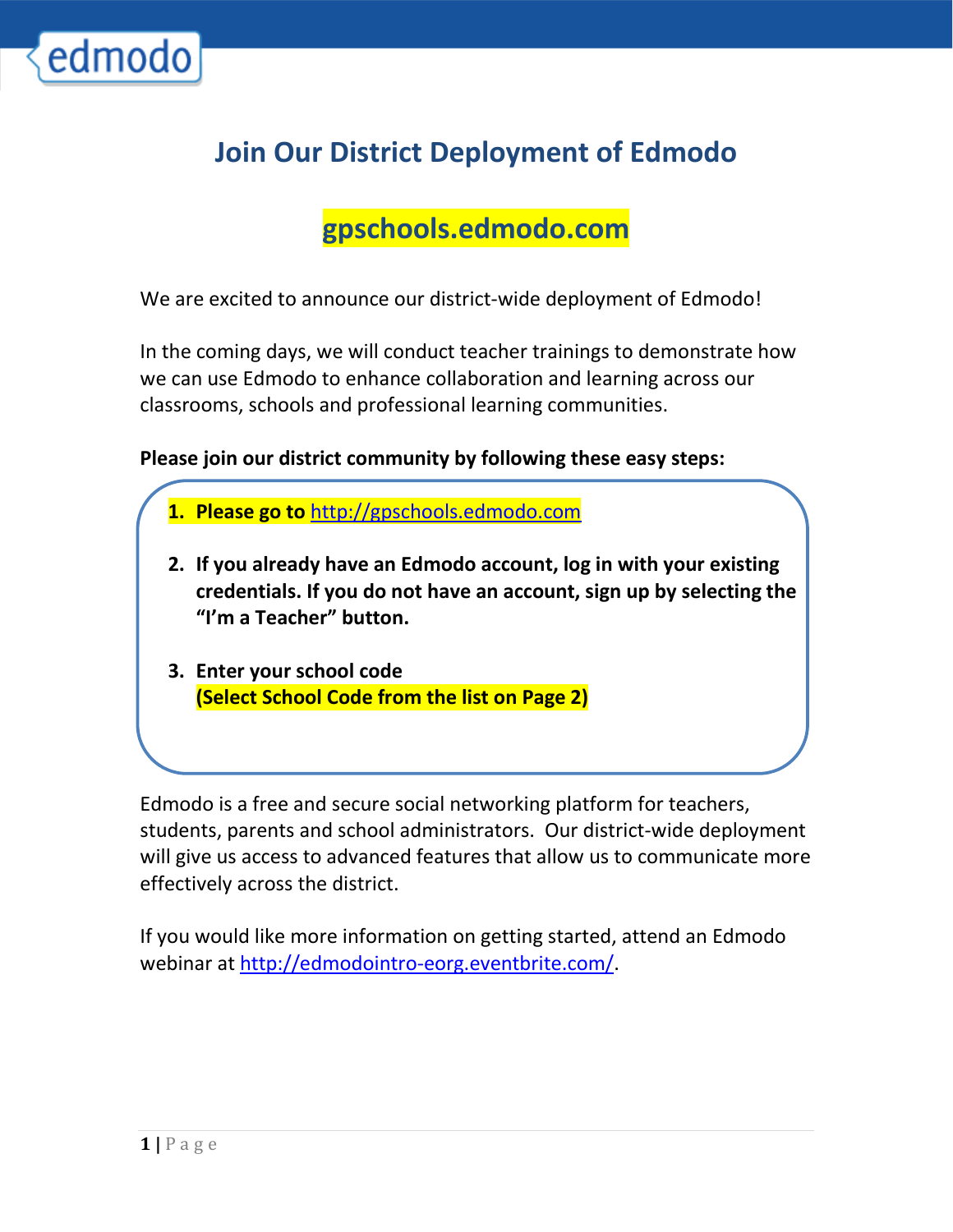

## Join Our District Deployment of Edmodo

## gpschools.edmodo.com

We are excited to announce our district-wide deployment of Edmodo!

In the coming days, we will conduct teacher trainings to demonstrate how we can use Edmodo to enhance collaboration and learning across our classrooms, schools and professional learning communities.

Please join our district community by following these easy steps:

- 1. Please go to http://gpschools.edmodo.com
- 2. If you already have an Edmodo account, log in with your existing credentials. If you do not have an account, sign up by selecting the "I'm a Teacher" button.
- 3. Enter your school code (Select School Code from the list on Page 2)

Edmodo is a free and secure social networking platform for teachers, students, parents and school administrators. Our district-wide deployment will give us access to advanced features that allow us to communicate more effectively across the district.

If you would like more information on getting started, attend an Edmodo webinar at http://edmodointro-eorg.eventbrite.com/.